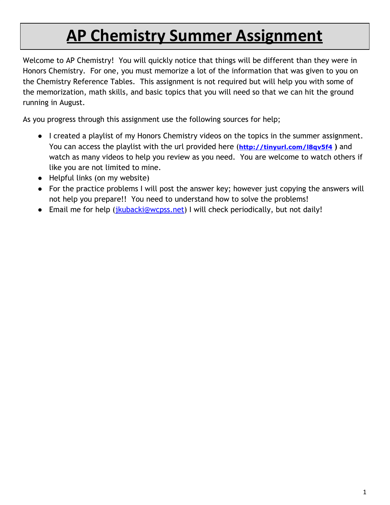# **AP Chemistry Summer Assignment**

Welcome to AP Chemistry! You will quickly notice that things will be different than they were in Honors Chemistry. For one, you must memorize a lot of the information that was given to you on the Chemistry Reference Tables. This assignment is not required but will help you with some of the memorization, math skills, and basic topics that you will need so that we can hit the ground running in August.

As you progress through this assignment use the following sources for help;

- I created a playlist of my Honors Chemistry videos on the topics in the summer assignment. You can access the playlist with the url provided here (**<http://tinyurl.com/l8qv5f4> )** and watch as many videos to help you review as you need. You are welcome to watch others if like you are not limited to mine.
- Helpful links (on my website)
- For the practice problems I will post the answer key; however just copying the answers will not help you prepare!! You need to understand how to solve the problems!
- Email me for help (*jkubacki@wcpss.net*) I will check periodically, but not daily!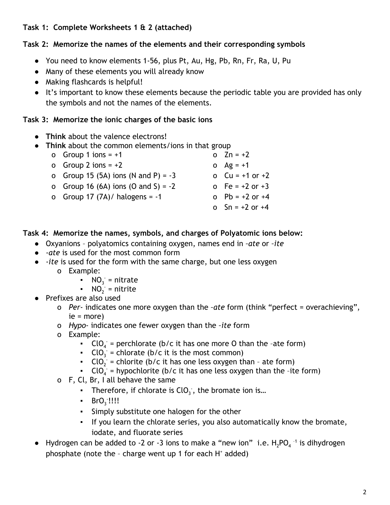# **Task 1: Complete Worksheets 1 & 2 (attached)**

# **Task 2: Memorize the names of the elements and their corresponding symbols**

- You need to know elements 1-56, plus Pt, Au, Hg, Pb, Rn, Fr, Ra, U, Pu
- Many of these elements you will already know
- Making flashcards is helpful!
- It's important to know these elements because the periodic table you are provided has only the symbols and not the names of the elements.

# **Task 3: Memorize the ionic charges of the basic ions**

- **Think** about the valence electrons!
- **Think** about the common elements/ions in that group
	- o Group 1 ions  $= +1$ o Group 2 ions =  $+2$ o Group 15 (5A) ions (N and P) =  $-3$ o Group 16 (6A) ions (O and S) = -2 o Group  $17 (7A)$  halogens =  $-1$ o Zn = +2 o  $Ag = +1$ o  $Cu = +1$  or  $+2$  $0 \tFe = +2 \tor +3$ o P $b = +2$  or  $+4$ o Sn = +2 or +4
- **Task 4: Memorize the names, symbols, and charges of Polyatomic ions below:**
	- Oxyanions polyatomics containing oxygen, names end in *–ate* or *–ite*
	- *-ate* is used for the most common form
	- *-ite* is used for the form with the same charge, but one less oxygen
		- o Example:
			- $NO_3$  = nitrate
			- $\bullet$  NO<sub>2</sub> = nitrite
	- Prefixes are also used
		- o *Per-* indicates one more oxygen than the *–ate* form (think "perfect = overachieving", ie = more)
		- o *Hypo-* indicates one fewer oxygen than the *–ite* form
		- o Example:
			- **CIO**<sub>4</sub> = perchlorate (b/c it has one more O than the -ate form)
			- **CIO**<sub>3</sub> = chlorate (b/c it is the most common)
			- **CIO**<sub>2</sub> = chlorite (b/c it has one less oxygen than ate form)
			- **CIO**<sub>4</sub> = hypochlorite (b/c it has one less oxygen than the -ite form)
		- o F, Cl, Br, I all behave the same
			- **Therefore, if chlorate is ClO**<sub>3</sub>, the bromate ion is...
			- **•** BrO<sub>3</sub>:!!!!
			- Simply substitute one halogen for the other
			- If you learn the chlorate series, you also automatically know the bromate, iodate, and fluorate series
	- Hydrogen can be added to -2 or -3 ions to make a "new ion" i.e.  $H_2PO_4^{-1}$  is dihydrogen phosphate (note the  $-$  charge went up 1 for each  $H<sup>+</sup>$  added)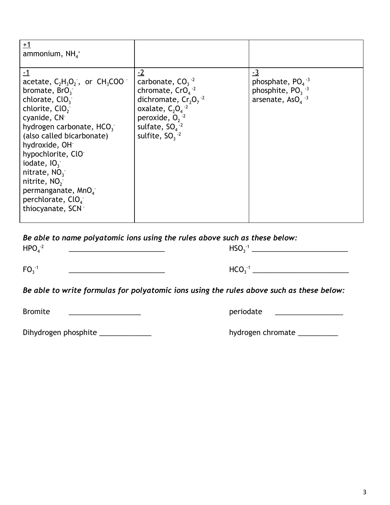| $+1$<br>ammonium, $NH4+$                                                                                                                                                                                                                                                                                                                                                                                                             |                                                                                                                                                                                                        |                                                                                                         |
|--------------------------------------------------------------------------------------------------------------------------------------------------------------------------------------------------------------------------------------------------------------------------------------------------------------------------------------------------------------------------------------------------------------------------------------|--------------------------------------------------------------------------------------------------------------------------------------------------------------------------------------------------------|---------------------------------------------------------------------------------------------------------|
| $-1$<br>acetate, $C_2H_3O_2$ , or $CH_3COO$<br>bromate, BrO <sub>3</sub><br>chlorate, $ClO_{3}^{-}$<br>chlorite, ClO <sub>2</sub><br>cyanide, CN <sup>-</sup><br>hydrogen carbonate, HCO <sub>3</sub><br>(also called bicarbonate)<br>hydroxide, OH <sup>-</sup><br>hypochlorite, ClO<br>iodate, $103$<br>nitrate, $NO_3^-$<br>nitrite, $NO2$<br>permanganate, MnO <sub>4</sub><br>perchlorate, ClO <sub>4</sub><br>thiocyanate, SCN | $-2$<br>carbonate, $CO_3^{-2}$<br>chromate, $CrO4$ <sup>-2</sup><br>dichromate, $Cr_2O_7^{-2}$<br>oxalate, $C_2O_4^{-2}$<br>peroxide, $0, \frac{1}{2}$<br>sulfate, $SO_4^{-2}$<br>sulfite, $SO_3^{-2}$ | <u>-3</u><br>phosphate, $PO4$ <sup>-3</sup><br>phosphite, $PO_3^{-3}$<br>arsenate, $AsO4$ <sup>-3</sup> |

*Be able to name polyatomic ions using the rules above such as these below:*

| $HPO4-2$ | HSO <sub>3</sub> |  |
|----------|------------------|--|
| $FO3-1$  | HCO-             |  |

*Be able to write formulas for polyatomic ions using the rules above such as these below:*

Bromite \_\_\_\_\_\_\_\_\_\_\_\_\_\_\_\_\_\_ periodate \_\_\_\_\_\_\_\_\_\_\_\_\_\_\_\_\_

| Dihydrogen phosphite |  |
|----------------------|--|
|----------------------|--|

hydrogen chromate \_\_\_\_\_\_\_\_\_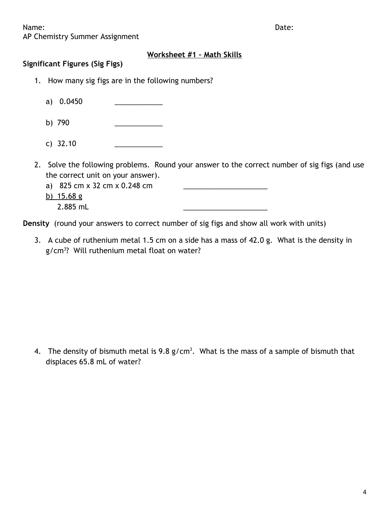Name: **Name:**  $\blacksquare$ 

AP Chemistry Summer Assignment

## **Worksheet #1 – Math Skills**

## **Significant Figures (Sig Figs)**

- 1. How many sig figs are in the following numbers?
	- a) 0.0450
	- b) 790 \_\_\_\_\_\_\_\_\_\_\_\_
	- c) 32.10 \_\_\_\_\_\_\_\_\_\_\_\_
- 2. Solve the following problems. Round your answer to the correct number of sig figs (and use the correct unit on your answer).
	- a) 825 cm x 32 cm x 0.248 cm
	- b)  $15.68 g$ 
		- 2.885 mL \_\_\_\_\_\_\_\_\_\_\_\_\_\_\_\_\_\_\_\_\_

**Density** (round your answers to correct number of sig figs and show all work with units)

3. A cube of ruthenium metal 1.5 cm on a side has a mass of 42.0 g. What is the density in g/cm<sup>3</sup> ? Will ruthenium metal float on water?

4. The density of bismuth metal is  $9.8$  g/cm<sup>3</sup>. What is the mass of a sample of bismuth that displaces 65.8 mL of water?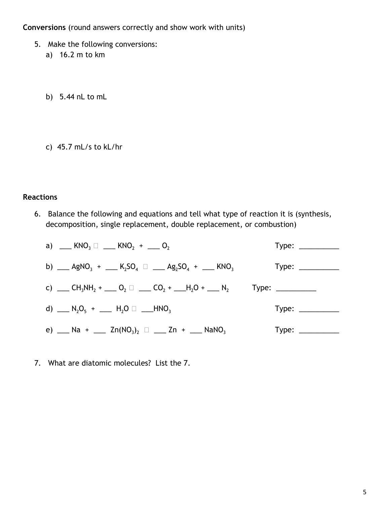**Conversions** (round answers correctly and show work with units)

- 5. Make the following conversions:
	- a) 16.2 m to km
	- b) 5.44 nL to mL
	- c) 45.7 mL/s to kL/hr

## **Reactions**

6. Balance the following and equations and tell what type of reaction it is (synthesis, decomposition, single replacement, double replacement, or combustion)

| a) $KNO_3 \Box$ $KNO_2 + \Box O_2$                                                                                                                | $Type: \_\_$      |
|---------------------------------------------------------------------------------------------------------------------------------------------------|-------------------|
| b) ___ AgNO <sub>3</sub> + ___ K <sub>2</sub> SO <sub>4</sub> $\Box$ ___ Ag <sub>2</sub> SO <sub>4</sub> + ___ KNO <sub>3</sub>                   | Type: ___________ |
| c) ___ CH <sub>3</sub> NH <sub>2</sub> + ___ O <sub>2</sub> $\Box$ ___ CO <sub>2</sub> + ___H <sub>2</sub> O + ___ N <sub>2</sub> Type: _________ |                   |
| d) $\_\_$ N <sub>2</sub> O <sub>5</sub> + $\_\_$ H <sub>2</sub> O $\_\_$ ___HNO <sub>3</sub>                                                      | Type: ___________ |
| e) __ Na + __ Zn(NO <sub>3</sub> ) <sub>2</sub> $\Box$ __ Zn + __ NaNO <sub>3</sub>                                                               | Type: ___________ |

7. What are diatomic molecules? List the 7.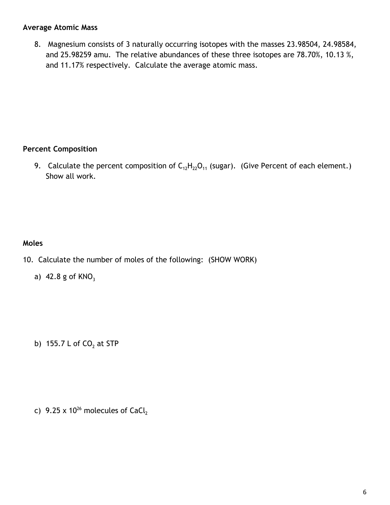#### **Average Atomic Mass**

8. Magnesium consists of 3 naturally occurring isotopes with the masses 23.98504, 24.98584, and 25.98259 amu. The relative abundances of these three isotopes are 78.70%, 10.13 %, and 11.17% respectively. Calculate the average atomic mass.

## **Percent Composition**

9. Calculate the percent composition of  $C_{12}H_{22}O_{11}$  (sugar). (Give Percent of each element.) Show all work.

# **Moles**

- 10. Calculate the number of moles of the following: (SHOW WORK)
	- a) 42.8 g of  $KNO<sub>3</sub>$

b) 155.7 L of CO $_2$  at STP

c)  $9.25 \times 10^{26}$  molecules of CaCl $_2$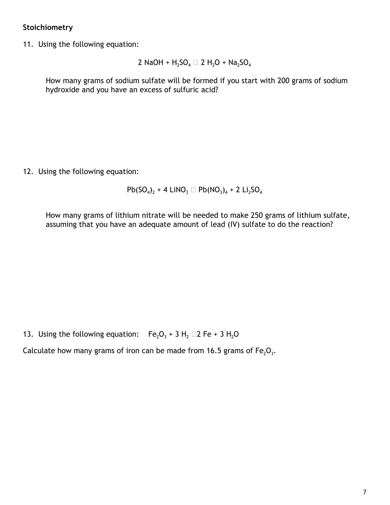## **Stoichiometry**

11. Using the following equation:

2 NaOH + H<sub>2</sub>SO<sub>4</sub> 
$$
\square
$$
 2 H<sub>2</sub>O + Na<sub>2</sub>SO<sub>4</sub>

How many grams of sodium sulfate will be formed if you start with 200 grams of sodium hydroxide and you have an excess of sulfuric acid?

12. Using the following equation:

 $Pb(SO_4)_2 + 4$  LiNO<sub>3</sub>  $\Box$   $Pb(NO_3)_4 + 2$  Li<sub>2</sub>SO<sub>4</sub>

How many grams of lithium nitrate will be needed to make 250 grams of lithium sulfate, assuming that you have an adequate amount of lead (IV) sulfate to do the reaction?

13. Using the following equation:  $Fe<sub>2</sub>O<sub>3</sub> + 3 H<sub>2</sub> \square 2 Fe + 3 H<sub>2</sub>O$ 

Calculate how many grams of iron can be made from 16.5 grams of Fe<sub>2</sub>O<sub>3</sub>.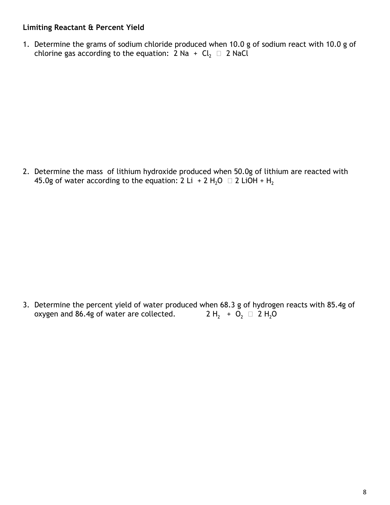## **Limiting Reactant & Percent Yield**

1. Determine the grams of sodium chloride produced when 10.0 g of sodium react with 10.0 g of chlorine gas according to the equation:  $2$  Na  $+$  Cl $_2$   $\Box$   $2$  NaCl

2. Determine the mass of lithium hydroxide produced when 50.0g of lithium are reacted with 45.0g of water according to the equation: 2 Li + 2 H<sub>2</sub>O  $\Box$  2 LiOH + H<sub>2</sub>

3. Determine the percent yield of water produced when 68.3 g of hydrogen reacts with 85.4g of oxygen and 86.4g of water are collected. +  $O_2$   $\Box$  2 H<sub>2</sub>O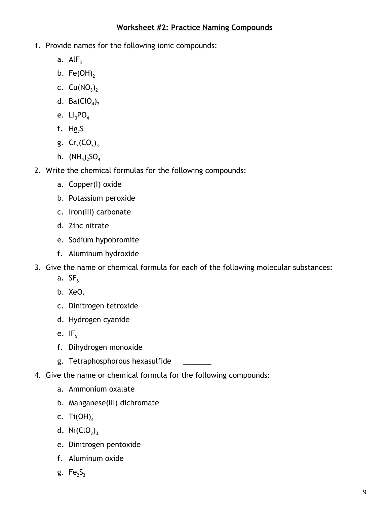## **Worksheet #2: Practice Naming Compounds**

- 1. Provide names for the following ionic compounds:
	- a.  $AlF<sub>3</sub>$
	- b. Fe(OH)<sub>2</sub>
	- c.  $Cu(NO<sub>3</sub>)<sub>2</sub>$
	- d. Ba $\left(\mathsf{ClO}_4\right)_2$
	- e.  $Li<sub>3</sub>PO<sub>4</sub>$
	- f.  $Hg<sub>2</sub>S$
	- g.  $Cr_2(CO_3)_3$
	- h.  $(\text{NH}_4)_2\text{SO}_4$
- 2. Write the chemical formulas for the following compounds:
	- a. Copper(I) oxide
	- b. Potassium peroxide
	- c. Iron(III) carbonate
	- d. Zinc nitrate
	- e. Sodium hypobromite
	- f. Aluminum hydroxide
- 3. Give the name or chemical formula for each of the following molecular substances:
	- a.  $SF<sub>6</sub>$
	- b.  $XeO<sub>3</sub>$
	- c. Dinitrogen tetroxide
	- d. Hydrogen cyanide
	- e.  $IF<sub>5</sub>$
	- f. Dihydrogen monoxide
	- g. Tetraphosphorous hexasulfide
- 4. Give the name or chemical formula for the following compounds:
	- a. Ammonium oxalate
	- b. Manganese(III) dichromate
	- c. Ti $(OH)_4$
	- d.  $\text{Ni}(\text{ClO}_2)_3$
	- e. Dinitrogen pentoxide
	- f. Aluminum oxide
	- g. Fe<sub>2</sub>S<sub>3</sub>